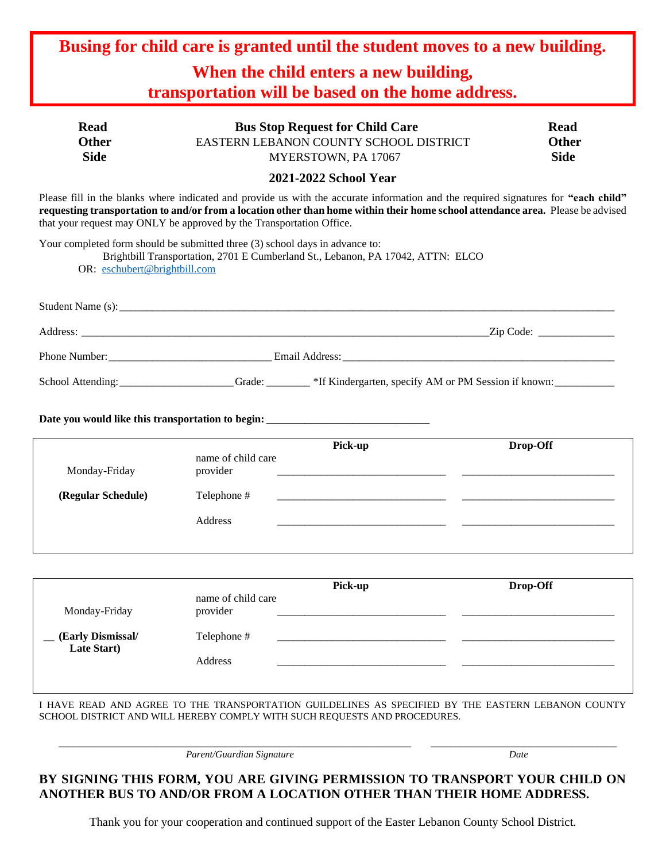| Busing for child care is granted until the student moves to a new building.                                                                                                                                                                                                                                                                    |                                                                                                                         |                                                                                                                                   |          |                                            |  |
|------------------------------------------------------------------------------------------------------------------------------------------------------------------------------------------------------------------------------------------------------------------------------------------------------------------------------------------------|-------------------------------------------------------------------------------------------------------------------------|-----------------------------------------------------------------------------------------------------------------------------------|----------|--------------------------------------------|--|
| When the child enters a new building,<br>transportation will be based on the home address.                                                                                                                                                                                                                                                     |                                                                                                                         |                                                                                                                                   |          |                                            |  |
| <b>Read</b><br><b>Other</b><br><b>Side</b>                                                                                                                                                                                                                                                                                                     | <b>Bus Stop Request for Child Care</b><br>EASTERN LEBANON COUNTY SCHOOL DISTRICT<br>MYERSTOWN, PA 17067                 |                                                                                                                                   |          | <b>Read</b><br><b>Other</b><br><b>Side</b> |  |
| 2021-2022 School Year                                                                                                                                                                                                                                                                                                                          |                                                                                                                         |                                                                                                                                   |          |                                            |  |
| Please fill in the blanks where indicated and provide us with the accurate information and the required signatures for "each child"<br>requesting transportation to and/or from a location other than home within their home school attendance area. Please be advised<br>that your request may ONLY be approved by the Transportation Office. |                                                                                                                         |                                                                                                                                   |          |                                            |  |
| Your completed form should be submitted three (3) school days in advance to:<br>OR: eschubert@brightbill.com                                                                                                                                                                                                                                   |                                                                                                                         | Brightbill Transportation, 2701 E Cumberland St., Lebanon, PA 17042, ATTN: ELCO                                                   |          |                                            |  |
|                                                                                                                                                                                                                                                                                                                                                |                                                                                                                         | Student Name (s): Student Name (s):                                                                                               |          |                                            |  |
|                                                                                                                                                                                                                                                                                                                                                |                                                                                                                         |                                                                                                                                   |          |                                            |  |
|                                                                                                                                                                                                                                                                                                                                                |                                                                                                                         |                                                                                                                                   |          |                                            |  |
|                                                                                                                                                                                                                                                                                                                                                | School Attending: ___________________Grade: ________*If Kindergarten, specify AM or PM Session if known: ______________ |                                                                                                                                   |          |                                            |  |
| Date you would like this transportation to begin: _______________________________                                                                                                                                                                                                                                                              |                                                                                                                         |                                                                                                                                   |          |                                            |  |
| Monday-Friday                                                                                                                                                                                                                                                                                                                                  | name of child care<br>provider                                                                                          | Pick-up<br><u> 1980 - Johann Stone, martin de Barbara, martin de Barbara, martin de Barbara, estadounidense en la contradició</u> |          | Drop-Off                                   |  |
| (Regular Schedule)                                                                                                                                                                                                                                                                                                                             | Telephone #                                                                                                             | <u> 1980 - Johann Johann Stoff, deutscher Amerikaanse kommunister (</u>                                                           |          |                                            |  |
|                                                                                                                                                                                                                                                                                                                                                | Address                                                                                                                 |                                                                                                                                   |          |                                            |  |
|                                                                                                                                                                                                                                                                                                                                                |                                                                                                                         | Pick-up                                                                                                                           | Drop-Off |                                            |  |
| Monday-Friday                                                                                                                                                                                                                                                                                                                                  | name of child care<br>provider                                                                                          |                                                                                                                                   |          |                                            |  |
| (Early Dismissal/<br>Late Start)                                                                                                                                                                                                                                                                                                               | Telephone #                                                                                                             |                                                                                                                                   |          |                                            |  |
|                                                                                                                                                                                                                                                                                                                                                | Address                                                                                                                 |                                                                                                                                   |          |                                            |  |

I HAVE READ AND AGREE TO THE TRANSPORTATION GUILDELINES AS SPECIFIED BY THE EASTERN LEBANON COUNTY SCHOOL DISTRICT AND WILL HEREBY COMPLY WITH SUCH REQUESTS AND PROCEDURES.

 $\_$  ,  $\_$  ,  $\_$  ,  $\_$  ,  $\_$  ,  $\_$  ,  $\_$  ,  $\_$  ,  $\_$  ,  $\_$  ,  $\_$  ,  $\_$  ,  $\_$  ,  $\_$  ,  $\_$  ,  $\_$  ,  $\_$  ,  $\_$  ,  $\_$  ,  $\_$  ,  $\_$  ,  $\_$  ,  $\_$  ,  $\_$  ,  $\_$  ,  $\_$  ,  $\_$  ,  $\_$  ,  $\_$  ,  $\_$  ,  $\_$  ,  $\_$  ,  $\_$  ,  $\_$  ,  $\_$  ,  $\_$  ,  $\_$  ,

*Parent/Guardian Signature Date*

## **BY SIGNING THIS FORM, YOU ARE GIVING PERMISSION TO TRANSPORT YOUR CHILD ON ANOTHER BUS TO AND/OR FROM A LOCATION OTHER THAN THEIR HOME ADDRESS.**

Thank you for your cooperation and continued support of the Easter Lebanon County School District.